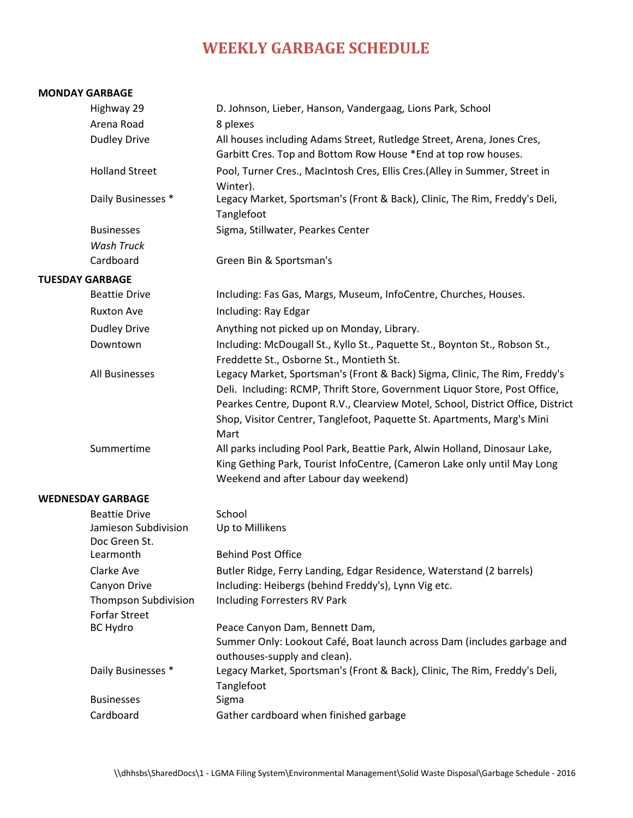## **WEEKLY GARBAGE SCHEDULE**

## **MONDAY GARBAGE**

|                        | Highway 29                                          | D. Johnson, Lieber, Hanson, Vandergaag, Lions Park, School                                                                                                                                                                                                                                                                     |
|------------------------|-----------------------------------------------------|--------------------------------------------------------------------------------------------------------------------------------------------------------------------------------------------------------------------------------------------------------------------------------------------------------------------------------|
|                        | Arena Road                                          | 8 plexes                                                                                                                                                                                                                                                                                                                       |
|                        | <b>Dudley Drive</b>                                 | All houses including Adams Street, Rutledge Street, Arena, Jones Cres,<br>Garbitt Cres. Top and Bottom Row House *End at top row houses.                                                                                                                                                                                       |
|                        | <b>Holland Street</b>                               | Pool, Turner Cres., MacIntosh Cres, Ellis Cres.(Alley in Summer, Street in<br>Winter).                                                                                                                                                                                                                                         |
|                        | Daily Businesses *                                  | Legacy Market, Sportsman's (Front & Back), Clinic, The Rim, Freddy's Deli,<br>Tanglefoot                                                                                                                                                                                                                                       |
|                        | <b>Businesses</b>                                   | Sigma, Stillwater, Pearkes Center                                                                                                                                                                                                                                                                                              |
|                        | <b>Wash Truck</b>                                   |                                                                                                                                                                                                                                                                                                                                |
|                        | Cardboard                                           | Green Bin & Sportsman's                                                                                                                                                                                                                                                                                                        |
| <b>TUESDAY GARBAGE</b> |                                                     |                                                                                                                                                                                                                                                                                                                                |
|                        | <b>Beattie Drive</b>                                | Including: Fas Gas, Margs, Museum, InfoCentre, Churches, Houses.                                                                                                                                                                                                                                                               |
|                        | <b>Ruxton Ave</b>                                   | Including: Ray Edgar                                                                                                                                                                                                                                                                                                           |
|                        | <b>Dudley Drive</b>                                 | Anything not picked up on Monday, Library.                                                                                                                                                                                                                                                                                     |
|                        | Downtown                                            | Including: McDougall St., Kyllo St., Paquette St., Boynton St., Robson St.,<br>Freddette St., Osborne St., Montieth St.                                                                                                                                                                                                        |
|                        | All Businesses                                      | Legacy Market, Sportsman's (Front & Back) Sigma, Clinic, The Rim, Freddy's<br>Deli. Including: RCMP, Thrift Store, Government Liquor Store, Post Office,<br>Pearkes Centre, Dupont R.V., Clearview Motel, School, District Office, District<br>Shop, Visitor Centrer, Tanglefoot, Paquette St. Apartments, Marg's Mini<br>Mart |
|                        | Summertime                                          | All parks including Pool Park, Beattie Park, Alwin Holland, Dinosaur Lake,<br>King Gething Park, Tourist InfoCentre, (Cameron Lake only until May Long<br>Weekend and after Labour day weekend)                                                                                                                                |
|                        | <b>WEDNESDAY GARBAGE</b>                            |                                                                                                                                                                                                                                                                                                                                |
|                        | <b>Beattie Drive</b>                                | School                                                                                                                                                                                                                                                                                                                         |
|                        | Jamieson Subdivision<br>Doc Green St.               | Up to Millikens                                                                                                                                                                                                                                                                                                                |
|                        | Learmonth                                           | <b>Behind Post Office</b>                                                                                                                                                                                                                                                                                                      |
|                        | Clarke Ave                                          | Butler Ridge, Ferry Landing, Edgar Residence, Waterstand (2 barrels)                                                                                                                                                                                                                                                           |
|                        | Canyon Drive                                        | Including: Heibergs (behind Freddy's), Lynn Vig etc.                                                                                                                                                                                                                                                                           |
|                        | <b>Thompson Subdivision</b><br><b>Forfar Street</b> | Including Forresters RV Park                                                                                                                                                                                                                                                                                                   |
|                        | <b>BC Hydro</b>                                     | Peace Canyon Dam, Bennett Dam,                                                                                                                                                                                                                                                                                                 |
|                        |                                                     | Summer Only: Lookout Café, Boat launch across Dam (includes garbage and<br>outhouses-supply and clean).                                                                                                                                                                                                                        |
|                        | Daily Businesses *                                  | Legacy Market, Sportsman's (Front & Back), Clinic, The Rim, Freddy's Deli,<br>Tanglefoot                                                                                                                                                                                                                                       |
|                        | <b>Businesses</b>                                   | Sigma                                                                                                                                                                                                                                                                                                                          |
|                        | Cardboard                                           | Gather cardboard when finished garbage                                                                                                                                                                                                                                                                                         |